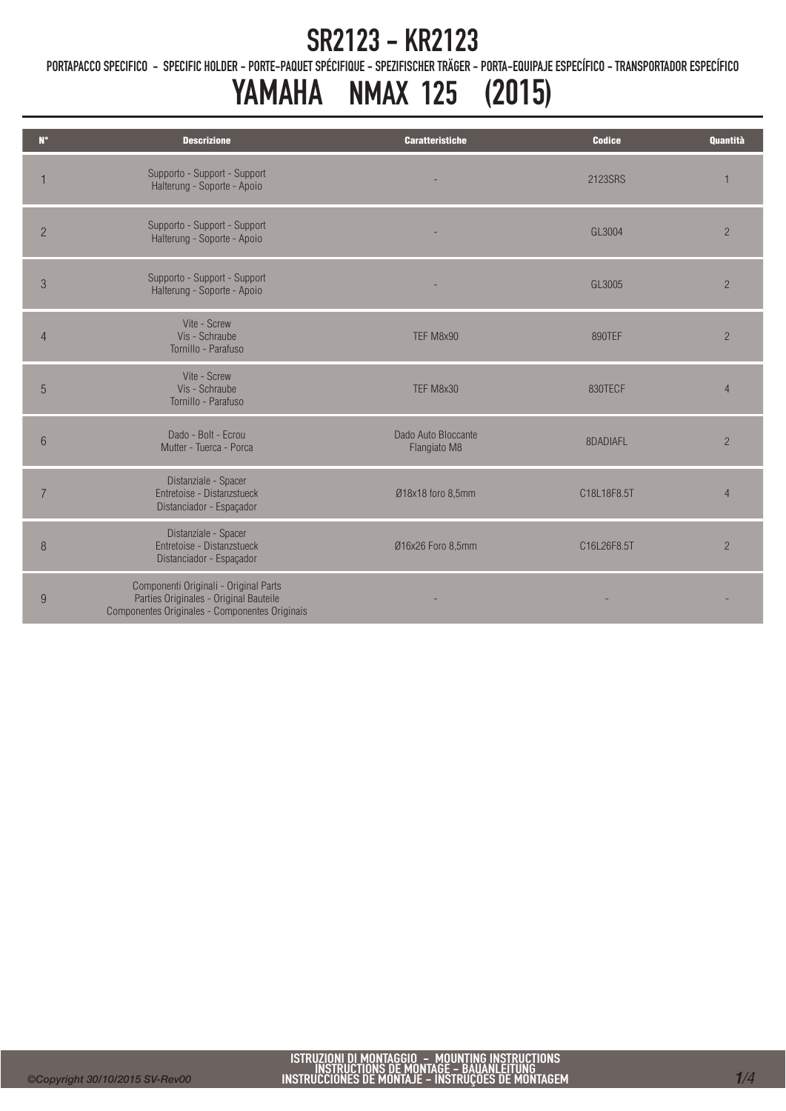PORTAPACCO SPECIFICO - SPECIFIC HOLDER - PORTE-PAQUET SPÉCIFIQUE - SPEZIFISCHER TRÄGER - PORTA-EQUIPAJE ESPECÍFICO - TRANSPORTADOR ESPECÍFICO

# YAMAHA NMAX 125 (2015)

| $N^{\circ}$    | <b>Descrizione</b>                                                                                                                | <b>Caratteristiche</b>              | <b>Codice</b> | <b>Quantità</b> |
|----------------|-----------------------------------------------------------------------------------------------------------------------------------|-------------------------------------|---------------|-----------------|
|                | Supporto - Support - Support<br>Halterung - Soporte - Apoio                                                                       |                                     | 2123SRS       |                 |
| $\overline{2}$ | Supporto - Support - Support<br>Halterung - Soporte - Apoio                                                                       |                                     | GL3004        | $\overline{2}$  |
| $\sqrt{3}$     | Supporto - Support - Support<br>Halterung - Soporte - Apoio                                                                       |                                     | GL3005        | $\overline{2}$  |
| $\overline{4}$ | Vite - Screw<br>Vis - Schraube<br>Tornillo - Parafuso                                                                             | TEF M8x90                           | 890TEF        | $\overline{2}$  |
| 5              | Vite - Screw<br>Vis - Schraube<br>Tornillo - Parafuso                                                                             | TEF M8x30                           | 830TECF       | $\overline{4}$  |
| 6              | Dado - Bolt - Ecrou<br>Mutter - Tuerca - Porca                                                                                    | Dado Auto Bloccante<br>Flangiato M8 | 8DADIAFL      | $\overline{c}$  |
| $\overline{7}$ | Distanziale - Spacer<br>Entretoise - Distanzstueck<br>Distanciador - Espaçador                                                    | Ø18x18 foro 8,5mm                   | C18L18F8.5T   | $\overline{4}$  |
| 8              | Distanziale - Spacer<br>Entretoise - Distanzstueck<br>Distanciador - Espaçador                                                    | Ø16x26 Foro 8,5mm                   | C16L26F8.5T   | $\overline{2}$  |
| $9\,$          | Componenti Originali - Original Parts<br>Parties Originales - Original Bauteile<br>Componentes Originales - Componentes Originais |                                     |               |                 |
|                |                                                                                                                                   |                                     |               |                 |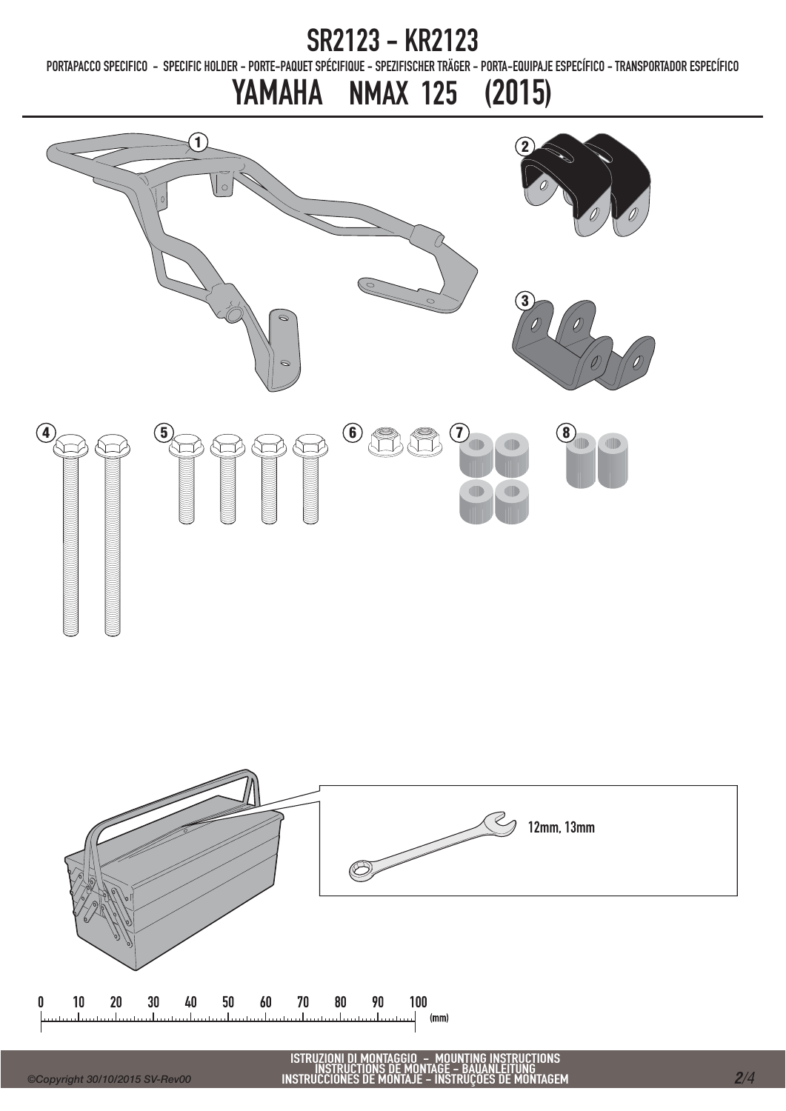PORTAPACCO SPECIFICO - SPECIFIC HOLDER - PORTE-PAQUET SPÉCIFIQUE - SPEZIFISCHER TRÄGER - PORTA-EQUIPAJE ESPECÍFICO - TRANSPORTADOR ESPECÍFICO

## YAMAHA NMAX 125 (2015)





O – MOUNTING INSTRUCTIONS<br>IONTAGE – RAHANI ELTING ISTRUZIONI DI MONTAGGIO - MOUNTING INSTRUCTIONS<br>INSTRUCTIONS DE MONTAGE - BAUANLEITUNG<br>INSTRUCCIONES DE MONTAJE - INSTRUÇÕES DE MONTAGEM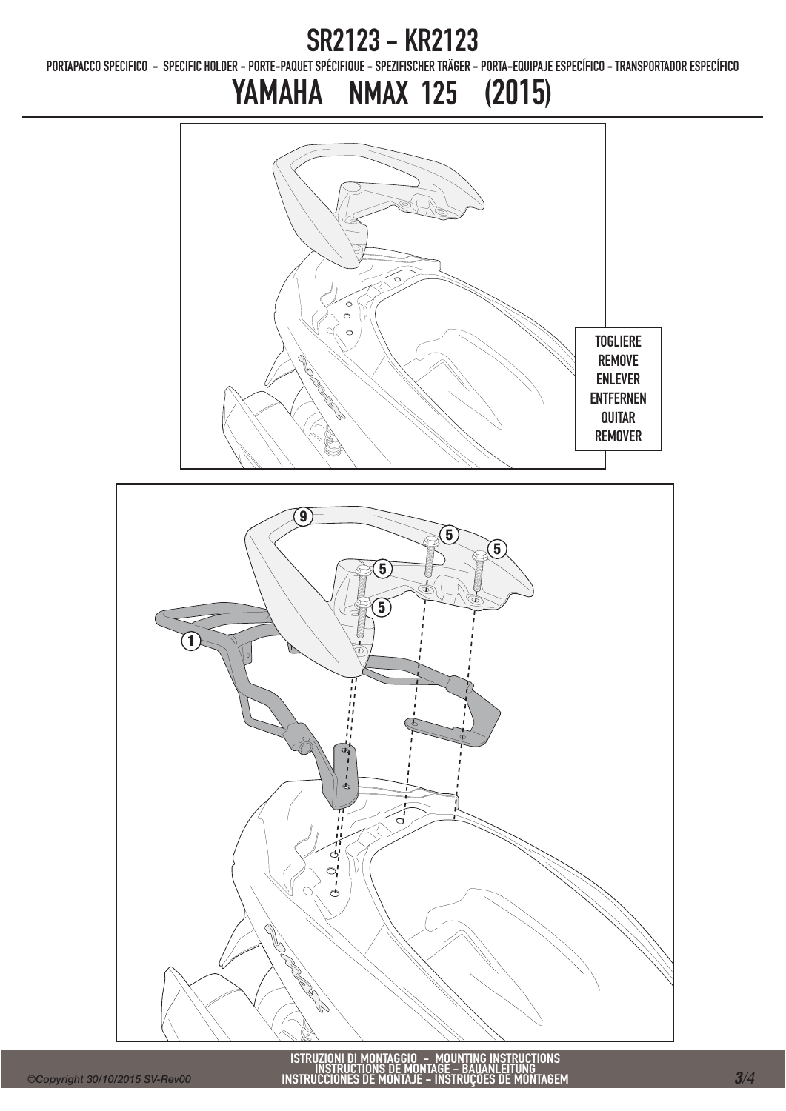PORTAPACCO SPECIFICO - SPECIFIC HOLDER - PORTE-PAQUET SPÉCIFIQUE - SPEZIFISCHER TRÄGER - PORTA-EQUIPAJE ESPECÍFICO - TRANSPORTADOR ESPECÍFICO

### YAMAHA NMAX 125 (2015)